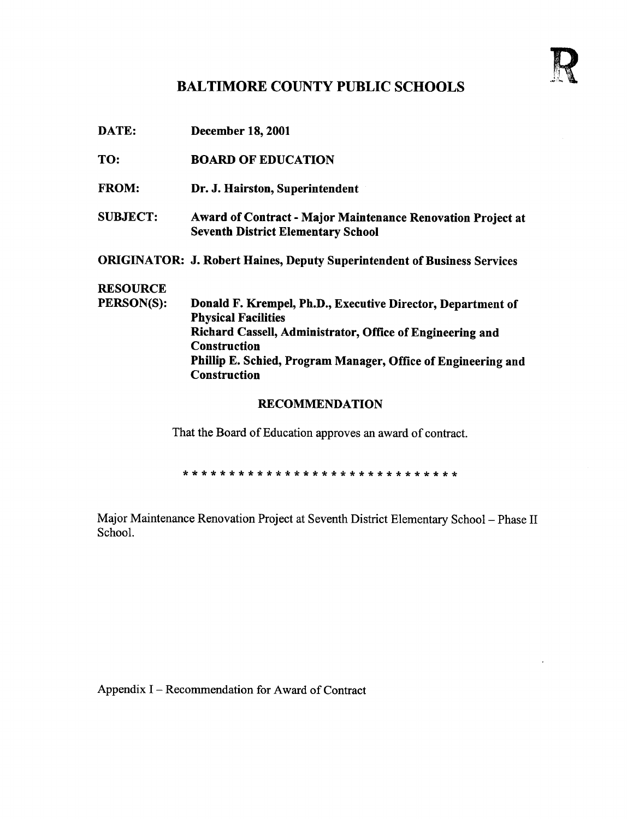

## BALTIMORE COUNTY PUBLIC SCHOOLS

| DATE:           | <b>December 18, 2001</b>                                                                                        |
|-----------------|-----------------------------------------------------------------------------------------------------------------|
| TO:             | <b>BOARD OF EDUCATION</b>                                                                                       |
| <b>FROM:</b>    | Dr. J. Hairston, Superintendent                                                                                 |
| <b>SUBJECT:</b> | <b>Award of Contract - Major Maintenance Renovation Project at</b><br><b>Seventh District Elementary School</b> |
|                 | <b>ORIGINATOR: J. Robert Haines, Deputy Superintendent of Business Services</b>                                 |
| <b>RESOURCE</b> |                                                                                                                 |
| PERSON(S):      | Donald F. Krempel, Ph.D., Executive Director, Department of<br><b>Physical Facilities</b>                       |
|                 | Richard Cassell, Administrator, Office of Engineering and<br><b>Construction</b>                                |
|                 | Phillip E. Schied, Program Manager, Office of Engineering and<br><b>Construction</b>                            |
|                 | <b>RECOMMENDATION</b>                                                                                           |

That the Board of Education approves an award of contract.

Major Maintenance Renovation Project at Seventh District Elementary School - Phase II School.

Appendix <sup>I</sup> - Recommendation for Award of Contract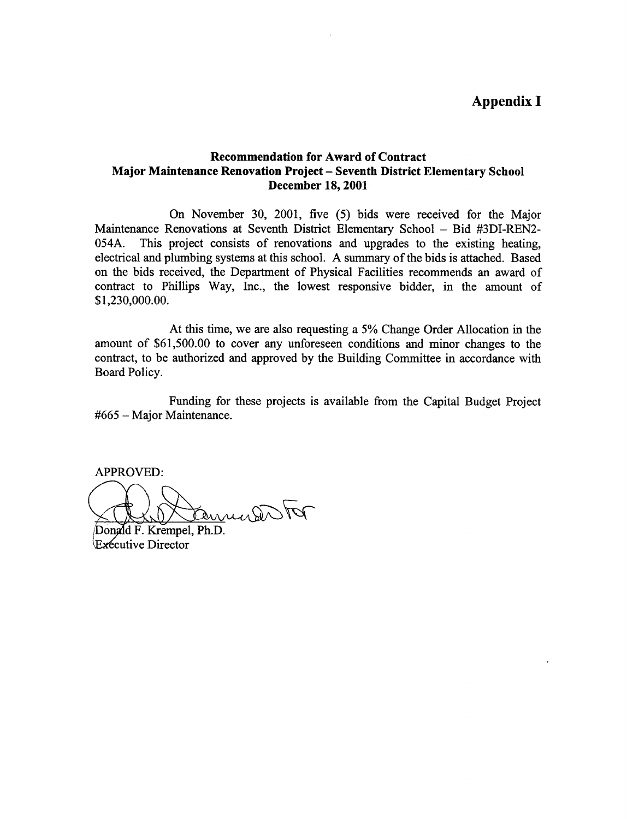## Recommendation for Award of Contract Major Maintenance Renovation Project - Seventh District Elementary School December 18, 2001

On November 30, 2001, five (5) bids were received for the Major Maintenance Renovations at Seventh District Elementary School – Bid #3DI-REN2-054A. This project consists of renovations and upgrades to the existing heating. This project consists of renovations and upgrades to the existing heating, electrical and plumbing systems at this school. A summary of the bids is attached. Based on the bids received, the Department of Physical Facilities recommends an award of contract to Phillips Way, Inc., the lowest responsive bidder, in the amount of \$1,230,000.00.

At this time, we are also requesting <sup>a</sup> 5% Change Order Allocation in the amount of \$61,500.00 to cover any unforeseen conditions and minor changes to the contract, to be authorized and approved by the Building Committee in accordance with Board Policy.

Funding for these projects is available from the Capital Budget Project #665 - Major Maintenance.

APPROVED:

Commendator

Donald F. Krempel, Ph.D. Executive Director